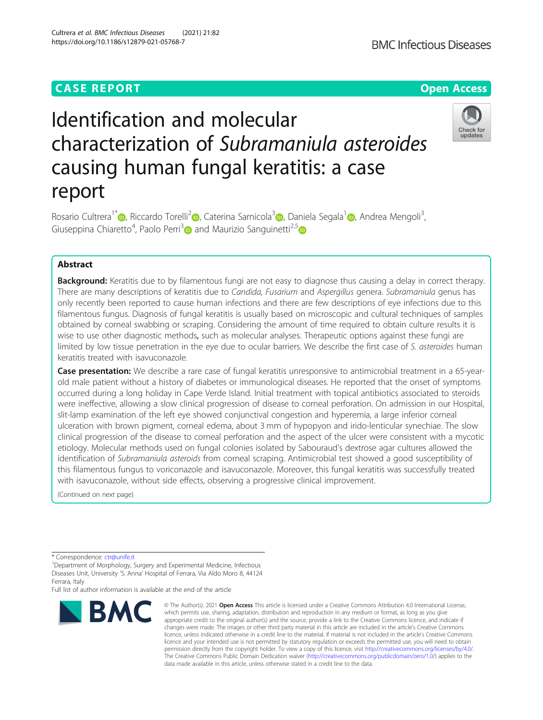# **CASE REPORT CASE ACCESS**

# Identification and molecular characterization of Subramaniula asteroides causing human fungal keratitis: a case report



Rosario Cultrera<sup>1\*</sup> [,](https://orcid.org/0000-0001-6133-0386) Riccardo Torelli<sup>[2](https://orcid.org/0000-0001-7927-4343)</sup> , Caterina Sarnicola<sup>[3](https://orcid.org/0000-0003-0219-8009)</sup> , Daniela Segala<sup>1</sup> , Andrea Mengoli<sup>3</sup>, , Giuseppina Chiaretto<sup>4</sup>, Paolo Perri<sup>3</sup> and Maurizio Sanguinetti<sup>2,[5](https://orcid.org/0000-0002-9780-7059)</sup>

## Abstract

Background: Keratitis due to by filamentous fungi are not easy to diagnose thus causing a delay in correct therapy. There are many descriptions of keratitis due to Candida, Fusarium and Aspergillus genera. Subramaniula genus has only recently been reported to cause human infections and there are few descriptions of eye infections due to this filamentous fungus. Diagnosis of fungal keratitis is usually based on microscopic and cultural techniques of samples obtained by corneal swabbing or scraping. Considering the amount of time required to obtain culture results it is wise to use other diagnostic methods, such as molecular analyses. Therapeutic options against these fungi are limited by low tissue penetration in the eye due to ocular barriers. We describe the first case of S. asteroides human keratitis treated with isavuconazole.

Case presentation: We describe a rare case of fungal keratitis unresponsive to antimicrobial treatment in a 65-yearold male patient without a history of diabetes or immunological diseases. He reported that the onset of symptoms occurred during a long holiday in Cape Verde Island. Initial treatment with topical antibiotics associated to steroids were ineffective, allowing a slow clinical progression of disease to corneal perforation. On admission in our Hospital, slit-lamp examination of the left eye showed conjunctival congestion and hyperemia, a large inferior corneal ulceration with brown pigment, corneal edema, about 3 mm of hypopyon and irido-lenticular synechiae. The slow clinical progression of the disease to corneal perforation and the aspect of the ulcer were consistent with a mycotic etiology. Molecular methods used on fungal colonies isolated by Sabouraud's dextrose agar cultures allowed the identification of Subramaniula asteroids from corneal scraping. Antimicrobial test showed a good susceptibility of this filamentous fungus to voriconazole and isavuconazole. Moreover, this fungal keratitis was successfully treated with isavuconazole, without side effects, observing a progressive clinical improvement.

(Continued on next page)

\* Correspondence: [ctr@unife.it](mailto:ctr@unife.it) <sup>1</sup>

<sup>1</sup>Department of Morphology, Surgery and Experimental Medicine, Infectious Diseases Unit, University 'S. Anna' Hospital of Ferrara, Via Aldo Moro 8, 44124 Ferrara, Italy

Full list of author information is available at the end of the article



© The Author(s), 2021 **Open Access** This article is licensed under a Creative Commons Attribution 4.0 International License, which permits use, sharing, adaptation, distribution and reproduction in any medium or format, as long as you give appropriate credit to the original author(s) and the source, provide a link to the Creative Commons licence, and indicate if changes were made. The images or other third party material in this article are included in the article's Creative Commons licence, unless indicated otherwise in a credit line to the material. If material is not included in the article's Creative Commons licence and your intended use is not permitted by statutory regulation or exceeds the permitted use, you will need to obtain permission directly from the copyright holder. To view a copy of this licence, visit [http://creativecommons.org/licenses/by/4.0/.](http://creativecommons.org/licenses/by/4.0/) The Creative Commons Public Domain Dedication waiver [\(http://creativecommons.org/publicdomain/zero/1.0/](http://creativecommons.org/publicdomain/zero/1.0/)) applies to the data made available in this article, unless otherwise stated in a credit line to the data.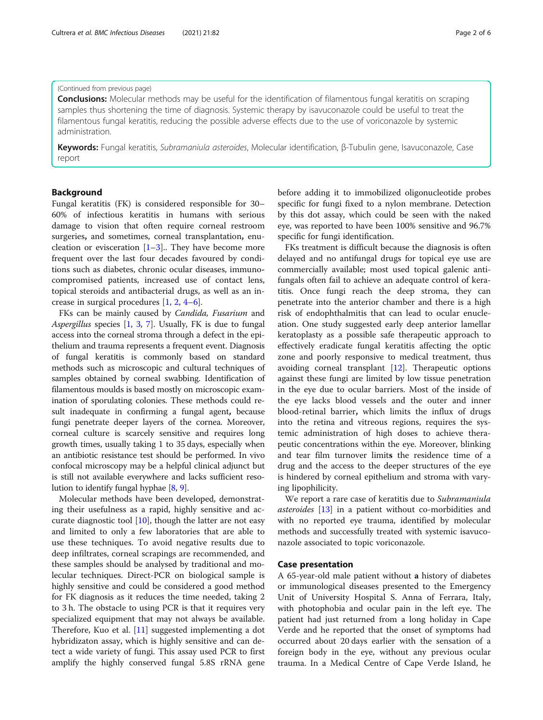(Continued from previous page)

**Conclusions:** Molecular methods may be useful for the identification of filamentous fungal keratitis on scraping samples thus shortening the time of diagnosis. Systemic therapy by isavuconazole could be useful to treat the filamentous fungal keratitis, reducing the possible adverse effects due to the use of voriconazole by systemic administration.

Keywords: Fungal keratitis, Subramaniula asteroides, Molecular identification, β-Tubulin gene, Isavuconazole, Case report

#### Background

Fungal keratitis (FK) is considered responsible for 30– 60% of infectious keratitis in humans with serious damage to vision that often require corneal restroom surgeries, and sometimes, corneal transplantation, enucleation or evisceration  $[1-3]$  $[1-3]$  $[1-3]$ . They have become more frequent over the last four decades favoured by conditions such as diabetes, chronic ocular diseases, immunocompromised patients, increased use of contact lens, topical steroids and antibacterial drugs, as well as an increase in surgical procedures [\[1](#page-5-0), [2](#page-5-0), [4](#page-5-0)–[6\]](#page-5-0).

FKs can be mainly caused by Candida, Fusarium and Aspergillus species  $[1, 3, 7]$  $[1, 3, 7]$  $[1, 3, 7]$  $[1, 3, 7]$  $[1, 3, 7]$  $[1, 3, 7]$  $[1, 3, 7]$ . Usually, FK is due to fungal access into the corneal stroma through a defect in the epithelium and trauma represents a frequent event. Diagnosis of fungal keratitis is commonly based on standard methods such as microscopic and cultural techniques of samples obtained by corneal swabbing. Identification of filamentous moulds is based mostly on microscopic examination of sporulating colonies. These methods could result inadequate in confirming a fungal agent, because fungi penetrate deeper layers of the cornea. Moreover, corneal culture is scarcely sensitive and requires long growth times, usually taking 1 to 35 days, especially when an antibiotic resistance test should be performed. In vivo confocal microscopy may be a helpful clinical adjunct but is still not available everywhere and lacks sufficient resolution to identify fungal hyphae [[8,](#page-5-0) [9](#page-5-0)].

Molecular methods have been developed, demonstrating their usefulness as a rapid, highly sensitive and accurate diagnostic tool [\[10](#page-5-0)], though the latter are not easy and limited to only a few laboratories that are able to use these techniques. To avoid negative results due to deep infiltrates, corneal scrapings are recommended, and these samples should be analysed by traditional and molecular techniques. Direct-PCR on biological sample is highly sensitive and could be considered a good method for FK diagnosis as it reduces the time needed, taking 2 to 3 h. The obstacle to using PCR is that it requires very specialized equipment that may not always be available. Therefore, Kuo et al. [[11\]](#page-5-0) suggested implementing a dot hybridizaton assay, which is highly sensitive and can detect a wide variety of fungi. This assay used PCR to first amplify the highly conserved fungal 5.8S rRNA gene before adding it to immobilized oligonucleotide probes specific for fungi fixed to a nylon membrane. Detection by this dot assay, which could be seen with the naked eye, was reported to have been 100% sensitive and 96.7% specific for fungi identification.

FKs treatment is difficult because the diagnosis is often delayed and no antifungal drugs for topical eye use are commercially available; most used topical galenic antifungals often fail to achieve an adequate control of keratitis. Once fungi reach the deep stroma, they can penetrate into the anterior chamber and there is a high risk of endophthalmitis that can lead to ocular enucleation. One study suggested early deep anterior lamellar keratoplasty as a possible safe therapeutic approach to effectively eradicate fungal keratitis affecting the optic zone and poorly responsive to medical treatment, thus avoiding corneal transplant [[12](#page-5-0)]. Therapeutic options against these fungi are limited by low tissue penetration in the eye due to ocular barriers. Most of the inside of the eye lacks blood vessels and the outer and inner blood-retinal barrier, which limits the influx of drugs into the retina and vitreous regions, requires the systemic administration of high doses to achieve therapeutic concentrations within the eye. Moreover, blinking and tear film turnover limits the residence time of a drug and the access to the deeper structures of the eye is hindered by corneal epithelium and stroma with varying lipophilicity.

We report a rare case of keratitis due to Subramaniula asteroides [\[13](#page-5-0)] in a patient without co-morbidities and with no reported eye trauma, identified by molecular methods and successfully treated with systemic isavuconazole associated to topic voriconazole.

#### Case presentation

A 65-year-old male patient without a history of diabetes or immunological diseases presented to the Emergency Unit of University Hospital S. Anna of Ferrara, Italy, with photophobia and ocular pain in the left eye. The patient had just returned from a long holiday in Cape Verde and he reported that the onset of symptoms had occurred about 20 days earlier with the sensation of a foreign body in the eye, without any previous ocular trauma. In a Medical Centre of Cape Verde Island, he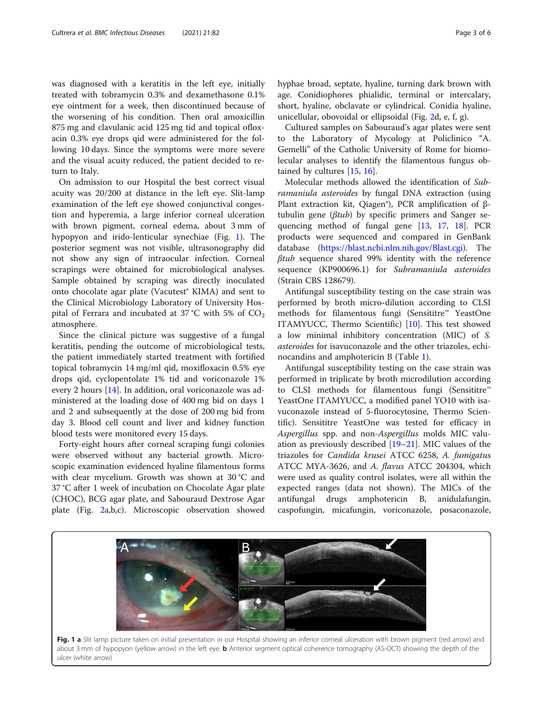was diagnosed with a keratitis in the left eye, initially treated with tobramycin 0.3% and dexamethasone 0.1% eye ointment for a week, then discontinued because of the worsening of his condition. Then oral amoxicillin 875 mg and clavulanic acid 125 mg tid and topical ofloxacin 0.3% eye drops qid were administered for the following 10 days. Since the symptoms were more severe and the visual acuity reduced, the patient decided to return to Italy.

On admission to our Hospital the best correct visual acuity was 20/200 at distance in the left eye. Slit-lamp examination of the left eye showed conjunctival congestion and hyperemia, a large inferior corneal ulceration with brown pigment, corneal edema, about 3 mm of hypopyon and irido-lenticular synechiae (Fig. 1). The posterior segment was not visible, ultrasonography did not show any sign of intraocular infection. Corneal scrapings were obtained for microbiological analyses. Sample obtained by scraping was directly inoculated onto chocolate agar plate (Vacutest® KIMA) and sent to the Clinical Microbiology Laboratory of University Hospital of Ferrara and incubated at 37 °C with 5% of  $CO<sub>2</sub>$ atmosphere.

Since the clinical picture was suggestive of a fungal keratitis, pending the outcome of microbiological tests, the patient immediately started treatment with fortified topical tobramycin 14 mg/ml qid, moxifloxacin 0.5% eye drops qid, cyclopentolate 1% tid and voriconazole 1% every 2 hours [\[14\]](#page-5-0). In addition, oral voriconazole was administered at the loading dose of 400 mg bid on days 1 and 2 and subsequently at the dose of 200 mg bid from day 3. Blood cell count and liver and kidney function blood tests were monitored every 15 days.

Forty-eight hours after corneal scraping fungi colonies were observed without any bacterial growth. Microscopic examination evidenced hyaline filamentous forms with clear mycelium. Growth was shown at 30 °C and 37 °C after 1 week of incubation on Chocolate Agar plate (CHOC), BCG agar plate, and Sabouraud Dextrose Agar plate (Fig. [2a](#page-3-0),b,c). Microscopic observation showed hyphae broad, septate, hyaline, turning dark brown with age. Conidiophores phialidic, terminal or intercalary, short, hyaline, obclavate or cylindrical. Conidia hyaline, unicellular, obovoidal or ellipsoidal (Fig. [2d](#page-3-0), e, f, g).

Cultured samples on Sabouraud's agar plates were sent to the Laboratory of Mycology at Policlinico "A. Gemelli" of the Catholic University of Rome for biomolecular analyses to identify the filamentous fungus obtained by cultures [[15,](#page-5-0) [16\]](#page-5-0).

Molecular methods allowed the identification of Subramaniula asteroides by fungal DNA extraction (using Plant extraction kit, Qiagen®), PCR amplification of βtubulin gene ( $\beta$ tub) by specific primers and Sanger sequencing method of fungal gene [[13](#page-5-0), [17,](#page-5-0) [18](#page-5-0)]. PCR products were sequenced and compared in GenBank database ([https://blast.ncbi.nlm.nih.gov/Blast.cgi\)](https://blast.ncbi.nlm.nih.gov/Blast.cgi). The βtub sequence shared 99% identity with the reference sequence (KP900696.1) for Subramaniula asteroides (Strain CBS 128679).

Antifungal susceptibility testing on the case strain was performed by broth micro-dilution according to CLSI methods for filamentous fungi (Sensititre™ YeastOne ITAMYUCC, Thermo Scientific) [\[10\]](#page-5-0). This test showed a low minimal inhibitory concentration (MIC) of S. asteroides for isavuconazole and the other triazoles, echinocandins and amphotericin B (Table [1](#page-3-0)).

Antifungal susceptibility testing on the case strain was performed in triplicate by broth microdilution according to CLSI methods for filamentous fungi (Sensititre™ YeastOne ITAMYUCC, a modified panel YO10 with isavuconazole instead of 5-fluorocytosine, Thermo Scientific). Sensititre YeastOne was tested for efficacy in Aspergillus spp. and non-Aspergillus molds MIC valuation as previously described [[19](#page-5-0)–[21\]](#page-5-0). MIC values of the triazoles for Candida krusei ATCC 6258, A. fumigatus ATCC MYA-3626, and A. flavus ATCC 204304, which were used as quality control isolates, were all within the expected ranges (data not shown). The MICs of the antifungal drugs amphotericin B, anidulafungin, caspofungin, micafungin, voriconazole, posaconazole,

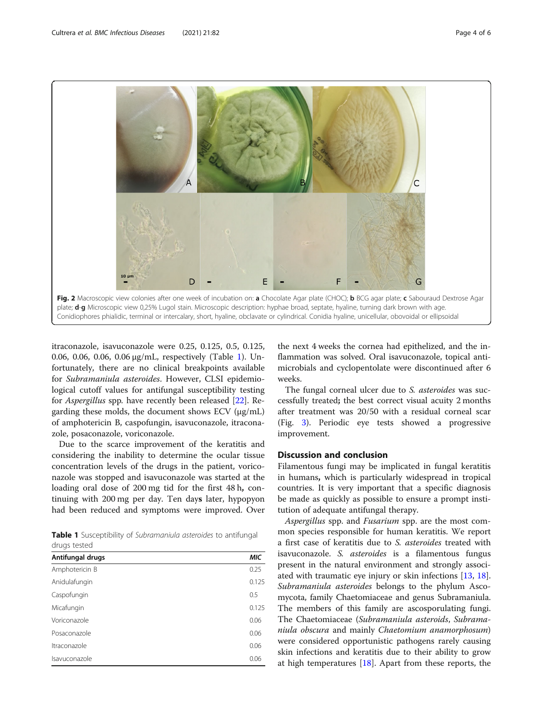<span id="page-3-0"></span>

itraconazole, isavuconazole were 0.25, 0.125, 0.5, 0.125, 0.06, 0.06, 0.06, 0.06 μg/mL, respectively (Table 1). Unfortunately, there are no clinical breakpoints available for Subramaniula asteroides. However, CLSI epidemiological cutoff values for antifungal susceptibility testing for Aspergillus spp. have recently been released [\[22\]](#page-5-0). Regarding these molds, the document shows ECV (μg/mL) of amphotericin B, caspofungin, isavuconazole, itraconazole, posaconazole, voriconazole.

Due to the scarce improvement of the keratitis and considering the inability to determine the ocular tissue concentration levels of the drugs in the patient, voriconazole was stopped and isavuconazole was started at the loading oral dose of 200 mg tid for the first 48 h, continuing with 200 mg per day. Ten days later, hypopyon had been reduced and symptoms were improved. Over

|              |  | Table 1 Susceptibility of Subramaniula asteroides to antifungal |  |  |  |  |
|--------------|--|-----------------------------------------------------------------|--|--|--|--|
| drugs tested |  |                                                                 |  |  |  |  |

| Antifungal drugs | МIС   |
|------------------|-------|
| Amphotericin B   | 0.25  |
| Anidulafungin    | 0.125 |
| Caspofungin      | 0.5   |
| Micafungin       | 0.125 |
| Voriconazole     | 0.06  |
| Posaconazole     | 0.06  |
| Itraconazole     | 0.06  |
| Isavuconazole    | 0.06  |
|                  |       |

the next 4 weeks the cornea had epithelized, and the inflammation was solved. Oral isavuconazole, topical antimicrobials and cyclopentolate were discontinued after 6 weeks.

The fungal corneal ulcer due to S. asteroides was successfully treated; the best correct visual acuity 2 months after treatment was 20/50 with a residual corneal scar (Fig. [3\)](#page-4-0). Periodic eye tests showed a progressive improvement.

### Discussion and conclusion

Filamentous fungi may be implicated in fungal keratitis in humans, which is particularly widespread in tropical countries. It is very important that a specific diagnosis be made as quickly as possible to ensure a prompt institution of adequate antifungal therapy.

Aspergillus spp. and Fusarium spp. are the most common species responsible for human keratitis. We report a first case of keratitis due to S. asteroides treated with isavuconazole. S. *asteroides* is a filamentous fungus present in the natural environment and strongly associated with traumatic eye injury or skin infections [\[13](#page-5-0), [18](#page-5-0)]. Subramaniula asteroides belongs to the phylum Ascomycota, family Chaetomiaceae and genus Subramaniula. The members of this family are ascosporulating fungi. The Chaetomiaceae (Subramaniula asteroids, Subramaniula obscura and mainly Chaetomium anamorphosum) were considered opportunistic pathogens rarely causing skin infections and keratitis due to their ability to grow at high temperatures [[18](#page-5-0)]. Apart from these reports, the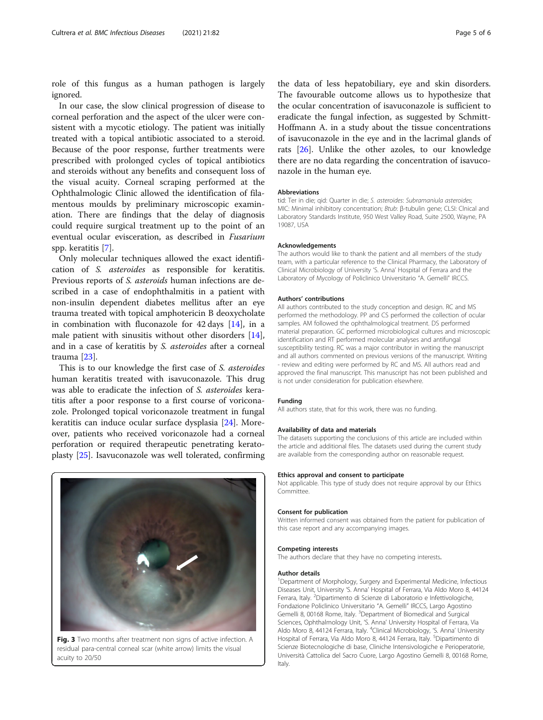<span id="page-4-0"></span>role of this fungus as a human pathogen is largely ignored.

In our case, the slow clinical progression of disease to corneal perforation and the aspect of the ulcer were consistent with a mycotic etiology. The patient was initially treated with a topical antibiotic associated to a steroid. Because of the poor response, further treatments were prescribed with prolonged cycles of topical antibiotics and steroids without any benefits and consequent loss of the visual acuity. Corneal scraping performed at the Ophthalmologic Clinic allowed the identification of filamentous moulds by preliminary microscopic examination. There are findings that the delay of diagnosis could require surgical treatment up to the point of an eventual ocular evisceration, as described in Fusarium spp. keratitis [[7\]](#page-5-0).

Only molecular techniques allowed the exact identification of S. asteroides as responsible for keratitis. Previous reports of S. asteroids human infections are described in a case of endophthalmitis in a patient with non-insulin dependent diabetes mellitus after an eye trauma treated with topical amphotericin B deoxycholate in combination with fluconazole for  $42 \text{ days}$  [\[14](#page-5-0)], in a male patient with sinusitis without other disorders [\[14](#page-5-0)], and in a case of keratitis by S. asteroides after a corneal trauma [[23\]](#page-5-0).

This is to our knowledge the first case of S. asteroides human keratitis treated with isavuconazole. This drug was able to eradicate the infection of S. *asteroides* keratitis after a poor response to a first course of voriconazole. Prolonged topical voriconazole treatment in fungal keratitis can induce ocular surface dysplasia [[24\]](#page-5-0). Moreover, patients who received voriconazole had a corneal perforation or required therapeutic penetrating keratoplasty [[25\]](#page-5-0). Isavuconazole was well tolerated, confirming

![](_page_4_Picture_5.jpeg)

Fig. 3 Two months after treatment non signs of active infection. A residual para-central corneal scar (white arrow) limits the visual acuity to 20/50

the data of less hepatobiliary, eye and skin disorders. The favourable outcome allows us to hypothesize that the ocular concentration of isavuconazole is sufficient to eradicate the fungal infection, as suggested by Schmitt-Hoffmann A. in a study about the tissue concentrations of isavuconazole in the eye and in the lacrimal glands of rats [[26\]](#page-5-0). Unlike the other azoles, to our knowledge there are no data regarding the concentration of isavuconazole in the human eye.

#### Abbreviations

tid: Ter in die; qid: Quarter in die; S. asteroides: Subramaniula asteroides; MIC: Minimal inhibitory concentration; Btub: β-tubulin gene; CLSI: Clnical and Laboratory Standards Institute, 950 West Valley Road, Suite 2500, Wayne, PA 19087, USA

#### Acknowledgements

The authors would like to thank the patient and all members of the study team, with a particular reference to the Clinical Pharmacy, the Laboratory of Clinical Microbiology of University 'S. Anna' Hospital of Ferrara and the Laboratory of Mycology of Policlinico Universitario "A. Gemelli" IRCCS.

#### Authors' contributions

All authors contributed to the study conception and design. RC and MS performed the methodology. PP and CS performed the collection of ocular samples. AM followed the ophthalmological treatment. DS performed material preparation. GC performed microbiological cultures and microscopic identification and RT performed molecular analyses and antifungal susceptibility testing. RC was a major contributor in writing the manuscript and all authors commented on previous versions of the manuscript. Writing - review and editing were performed by RC and MS. All authors read and approved the final manuscript. This manuscript has not been published and is not under consideration for publication elsewhere.

#### Funding

All authors state, that for this work, there was no funding.

#### Availability of data and materials

The datasets supporting the conclusions of this article are included within the article and additional files. The datasets used during the current study are available from the corresponding author on reasonable request.

#### Ethics approval and consent to participate

Not applicable. This type of study does not require approval by our Ethics Committee.

#### Consent for publication

Written informed consent was obtained from the patient for publication of this case report and any accompanying images.

#### Competing interests

The authors declare that they have no competing interests.

#### Author details

<sup>1</sup>Department of Morphology, Surgery and Experimental Medicine, Infectious Diseases Unit, University 'S. Anna' Hospital of Ferrara, Via Aldo Moro 8, 44124 Ferrara, Italy. <sup>2</sup>Dipartimento di Scienze di Laboratorio e Infettivologiche, Fondazione Policlinico Universitario "A. Gemelli" IRCCS, Largo Agostino Gemelli 8, 00168 Rome, Italy. <sup>3</sup>Department of Biomedical and Surgical Sciences, Ophthalmology Unit, 'S. Anna' University Hospital of Ferrara, Via Aldo Moro 8, 44124 Ferrara, Italy. <sup>4</sup>Clinical Microbiology, 'S. Anna' University Hospital of Ferrara, Via Aldo Moro 8, 44124 Ferrara, Italy. <sup>5</sup>Dipartimento di Scienze Biotecnologiche di base, Cliniche Intensivologiche e Perioperatorie, Università Cattolica del Sacro Cuore, Largo Agostino Gemelli 8, 00168 Rome, Italy.